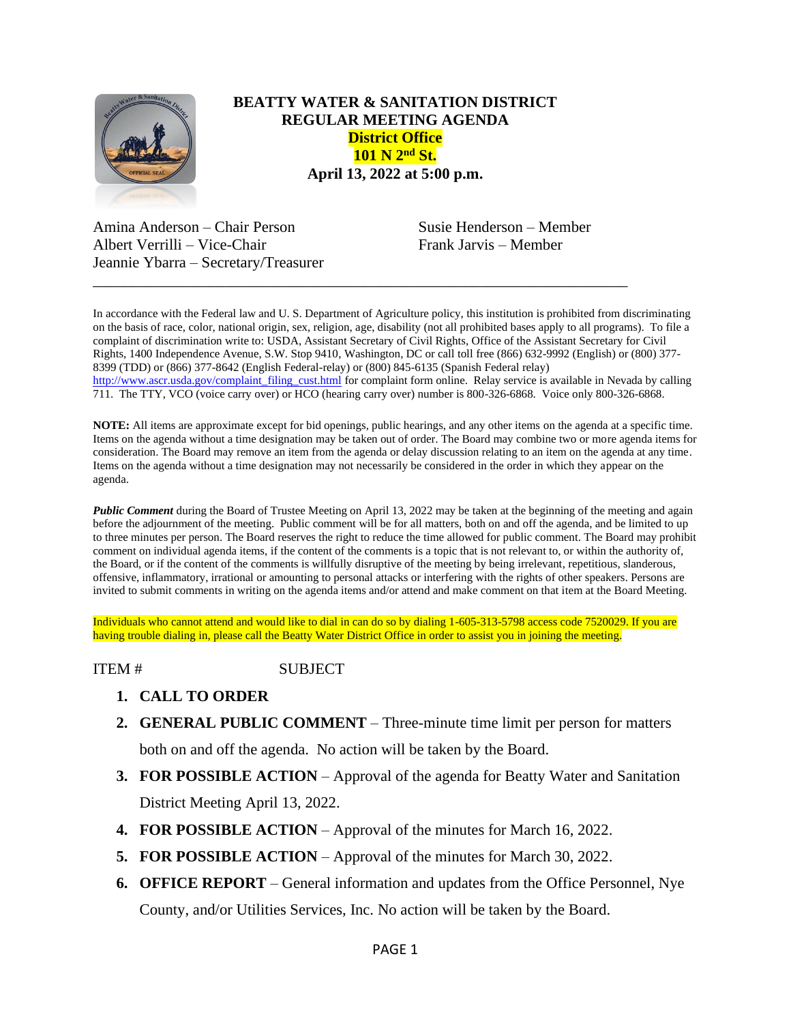

## **BEATTY WATER & SANITATION DISTRICT REGULAR MEETING AGENDA District Office 101 N 2nd St. April 13, 2022 at 5:00 p.m.**

Amina Anderson – Chair Person Susie Henderson – Member Albert Verrilli – Vice-Chair Frank Jarvis – Member Jeannie Ybarra – Secretary/Treasurer

In accordance with the Federal law and U. S. Department of Agriculture policy, this institution is prohibited from discriminating on the basis of race, color, national origin, sex, religion, age, disability (not all prohibited bases apply to all programs). To file a complaint of discrimination write to: USDA, Assistant Secretary of Civil Rights, Office of the Assistant Secretary for Civil Rights, 1400 Independence Avenue, S.W. Stop 9410, Washington, DC or call toll free (866) 632-9992 (English) or (800) 377- 8399 (TDD) or (866) 377-8642 (English Federal-relay) or (800) 845-6135 (Spanish Federal relay) [http://www.ascr.usda.gov/complaint\\_filing\\_cust.html](http://www.ascr.usda.gov/complaint_filing_cust.html) for complaint form online. Relay service is available in Nevada by calling 711. The TTY, VCO (voice carry over) or HCO (hearing carry over) number is 800-326-6868. Voice only 800-326-6868.

\_\_\_\_\_\_\_\_\_\_\_\_\_\_\_\_\_\_\_\_\_\_\_\_\_\_\_\_\_\_\_\_\_\_\_\_\_\_\_\_\_\_\_\_\_\_\_\_\_\_\_\_\_\_\_\_\_\_\_\_\_\_\_\_\_\_\_\_\_

**NOTE:** All items are approximate except for bid openings, public hearings, and any other items on the agenda at a specific time. Items on the agenda without a time designation may be taken out of order. The Board may combine two or more agenda items for consideration. The Board may remove an item from the agenda or delay discussion relating to an item on the agenda at any time. Items on the agenda without a time designation may not necessarily be considered in the order in which they appear on the agenda.

*Public Comment* during the Board of Trustee Meeting on April 13, 2022 may be taken at the beginning of the meeting and again before the adjournment of the meeting. Public comment will be for all matters, both on and off the agenda, and be limited to up to three minutes per person. The Board reserves the right to reduce the time allowed for public comment. The Board may prohibit comment on individual agenda items, if the content of the comments is a topic that is not relevant to, or within the authority of, the Board, or if the content of the comments is willfully disruptive of the meeting by being irrelevant, repetitious, slanderous, offensive, inflammatory, irrational or amounting to personal attacks or interfering with the rights of other speakers. Persons are invited to submit comments in writing on the agenda items and/or attend and make comment on that item at the Board Meeting.

Individuals who cannot attend and would like to dial in can do so by dialing 1-605-313-5798 access code 7520029. If you are having trouble dialing in, please call the Beatty Water District Office in order to assist you in joining the meeting.

ITEM # SUBJECT

- **1. CALL TO ORDER**
- **2. GENERAL PUBLIC COMMENT** Three-minute time limit per person for matters both on and off the agenda. No action will be taken by the Board.
- **3. FOR POSSIBLE ACTION** Approval of the agenda for Beatty Water and Sanitation District Meeting April 13, 2022.
- **4. FOR POSSIBLE ACTION**  Approval of the minutes for March 16, 2022.
- **5. FOR POSSIBLE ACTION Approval of the minutes for March 30, 2022.**
- **6. OFFICE REPORT**  General information and updates from the Office Personnel, Nye County, and/or Utilities Services, Inc. No action will be taken by the Board.